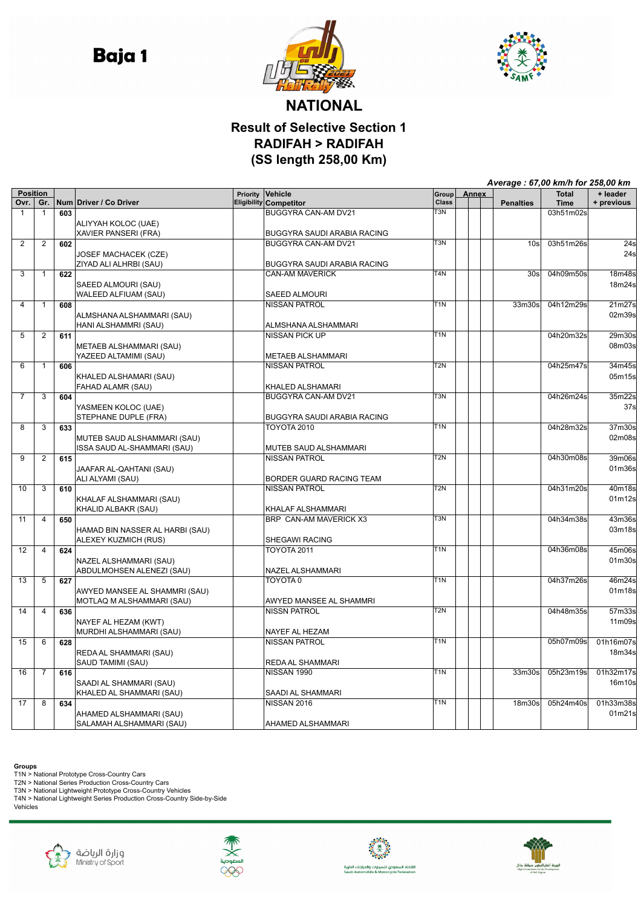**Baja1** 





## **NATIONAL Result of Selective Section 1 RADIFAH > RADIFAH (SS length 258,00 Km)**

|                 |                |     |                                                     |          |                                                    | Average: 67,00 km/h for 258,00 km |              |                    |              |                    |  |
|-----------------|----------------|-----|-----------------------------------------------------|----------|----------------------------------------------------|-----------------------------------|--------------|--------------------|--------------|--------------------|--|
| <b>Position</b> |                |     |                                                     | Priority | Vehicle                                            | Group                             | <b>Annex</b> |                    | <b>Total</b> | + leader           |  |
| Ovr.            | Gr.            |     | Num Driver / Co Driver                              |          | <b>Eligibility Competitor</b>                      | <b>Class</b><br>T <sub>3</sub> N  |              | <b>Penalties</b>   | <b>Time</b>  | + previous         |  |
| $\mathbf{1}$    | $\mathbf{1}$   | 603 |                                                     |          | BUGGYRA CAN-AM DV21                                |                                   |              |                    | 03h51m02s    |                    |  |
|                 |                |     | ALIYYAH KOLOC (UAE)                                 |          |                                                    |                                   |              |                    |              |                    |  |
| $\overline{2}$  | 2              | 602 | XAVIER PANSERI (FRA)                                |          | BUGGYRA SAUDI ARABIA RACING<br>BUGGYRA CAN-AM DV21 | T3N                               |              | 10 <sub>s</sub>    | 03h51m26s    | 24s                |  |
|                 |                |     | <b>JOSEF MACHACEK (CZE)</b>                         |          |                                                    |                                   |              |                    |              | 24s                |  |
|                 |                |     | ZIYAD ALI ALHRBI (SAU)                              |          | BUGGYRA SAUDI ARABIA RACING                        |                                   |              |                    |              |                    |  |
| 3               | $\mathbf{1}$   | 622 |                                                     |          | <b>CAN-AM MAVERICK</b>                             | T4N                               |              | 30s                | 04h09m50s    | 18m48s             |  |
|                 |                |     | SAEED ALMOURI (SAU)                                 |          |                                                    |                                   |              |                    |              | 18m24s             |  |
|                 |                |     | WALEED ALFIUAM (SAU)                                |          | SAEED ALMOURI                                      |                                   |              |                    |              |                    |  |
| 4               | $\mathbf{1}$   | 608 |                                                     |          | <b>NISSAN PATROL</b>                               | $\overline{T1N}$                  |              | 33m30s             | 04h12m29s    | 21m27s             |  |
|                 |                |     | ALMSHANA ALSHAMMARI (SAU)                           |          |                                                    |                                   |              |                    |              | 02m39s             |  |
|                 |                |     | HANI ALSHAMMRI (SAU)                                |          | ALMSHANA ALSHAMMARI                                |                                   |              |                    |              |                    |  |
| 5               | $\overline{2}$ | 611 |                                                     |          | <b>NISSAN PICK UP</b>                              | $\overline{T1N}$                  |              |                    | 04h20m32s    | 29m30s             |  |
|                 |                |     | METAEB ALSHAMMARI (SAU)                             |          |                                                    |                                   |              |                    |              | 08m03s             |  |
|                 |                |     | YAZEED ALTAMIMI (SAU)                               |          | <b>METAEB ALSHAMMARI</b>                           |                                   |              |                    |              |                    |  |
| 6               | $\mathbf{1}$   | 606 |                                                     |          | <b>NISSAN PATROL</b>                               | T2N                               |              |                    | 04h25m47s    | 34m45s             |  |
|                 |                |     | KHALED ALSHAMARI (SAU)                              |          |                                                    |                                   |              |                    |              | 05m15s             |  |
|                 |                |     | FAHAD ALAMR (SAU)                                   |          | KHALED ALSHAMARI                                   |                                   |              |                    |              |                    |  |
| 7               | 3              | 604 |                                                     |          | BUGGYRA CAN-AM DV21                                | T <sub>3N</sub>                   |              |                    | 04h26m24s    | 35m22s             |  |
|                 |                |     | YASMEEN KOLOC (UAE)                                 |          |                                                    |                                   |              |                    |              | 37 <sub>s</sub>    |  |
|                 |                |     | STEPHANE DUPLE (FRA)                                |          | BUGGYRA SAUDI ARABIA RACING                        |                                   |              |                    |              |                    |  |
| $\overline{8}$  | $\overline{3}$ | 633 |                                                     |          | <b>TOYOTA 2010</b>                                 | $\overline{T1N}$                  |              |                    | 04h28m32s    | 37m30s             |  |
|                 |                |     | MUTEB SAUD ALSHAMMARI (SAU)                         |          |                                                    |                                   |              |                    |              | 02m08s             |  |
|                 |                |     | ISSA SAUD AL-SHAMMARI (SAU)                         |          | MUTEB SAUD ALSHAMMARI                              | T <sub>2N</sub>                   |              |                    |              |                    |  |
| 9               | $\overline{2}$ | 615 |                                                     |          | <b>NISSAN PATROL</b>                               |                                   |              |                    | 04h30m08s    | 39m06s             |  |
|                 |                |     | JAAFAR AL-QAHTANI (SAU)<br>ALI ALYAMI (SAU)         |          | BORDER GUARD RACING TEAM                           |                                   |              |                    |              | 01m36s             |  |
| 10              | 3              | 610 |                                                     |          | <b>NISSAN PATROL</b>                               | T <sub>2N</sub>                   |              |                    | 04h31m20s    | 40m18s             |  |
|                 |                |     | KHALAF ALSHAMMARI (SAU)                             |          |                                                    |                                   |              |                    |              | 01m12s             |  |
|                 |                |     | KHALID ALBAKR (SAU)                                 |          | KHALAF ALSHAMMARI                                  |                                   |              |                    |              |                    |  |
| 11              | 4              | 650 |                                                     |          | BRP CAN-AM MAVERICK X3                             | T3N                               |              |                    | 04h34m38s    | 43m36s             |  |
|                 |                |     | HAMAD BIN NASSER AL HARBI (SAU)                     |          |                                                    |                                   |              |                    |              | 03m18s             |  |
|                 |                |     | ALEXEY KUZMICH (RUS)                                |          | SHEGAWI RACING                                     |                                   |              |                    |              |                    |  |
| 12              | $\overline{4}$ | 624 |                                                     |          | <b>TOYOTA 2011</b>                                 | T <sub>1</sub> N                  |              |                    | 04h36m08s    | 45m06s             |  |
|                 |                |     | NAZEL ALSHAMMARI (SAU)                              |          |                                                    |                                   |              |                    |              | 01m30s             |  |
|                 |                |     | ABDULMOHSEN ALENEZI (SAU)                           |          | NAZEL ALSHAMMARI                                   |                                   |              |                    |              |                    |  |
| 13              | 5              | 627 |                                                     |          | TOYOTA0                                            | $\overline{T1N}$                  |              |                    | 04h37m26s    | 46m24s             |  |
|                 |                |     | AWYED MANSEE AL SHAMMRI (SAU)                       |          |                                                    |                                   |              |                    |              | 01m18s             |  |
|                 |                |     | MOTLAQ M ALSHAMMARI (SAU)                           |          | AWYED MANSEE AL SHAMMRI                            |                                   |              |                    |              |                    |  |
| 14              | 4              | 636 |                                                     |          | <b>NISSN PATROL</b>                                | $\overline{T2N}$                  |              |                    | 04h48m35s    | 57 <sub>m33s</sub> |  |
|                 |                |     | NAYEF AL HEZAM (KWT)                                |          |                                                    |                                   |              |                    |              | 11m09s             |  |
|                 |                |     | MURDHI ALSHAMMARI (SAU)                             |          | NAYEF AL HEZAM                                     |                                   |              |                    |              |                    |  |
| $\overline{15}$ | 6              | 628 |                                                     |          | <b>NISSAN PATROL</b>                               | $\overline{T1N}$                  |              |                    | 05h07m09s    | 01h16m07s          |  |
|                 |                |     | REDA AL SHAMMARI (SAU)                              |          |                                                    |                                   |              |                    |              | 18m34s             |  |
|                 |                |     | SAUD TAMIMI (SAU)                                   |          | REDA AL SHAMMARI                                   | T1N                               |              |                    |              |                    |  |
| 16              | 7              | 616 |                                                     |          | NISSAN 1990                                        |                                   |              | 33m30s             | 05h23m19s    | 01h32m17s          |  |
|                 |                |     | SAADI AL SHAMMARI (SAU)<br>KHALED AL SHAMMARI (SAU) |          | SAADI AL SHAMMARI                                  |                                   |              |                    |              | 16m10s             |  |
| 17              | 8              | 634 |                                                     |          | <b>NISSAN 2016</b>                                 | T <sub>1</sub> N                  |              | 18 <sub>m30s</sub> | 05h24m40s    | 01h33m38s          |  |
|                 |                |     | AHAMED ALSHAMMARI (SAU)                             |          |                                                    |                                   |              |                    |              | 01m21s             |  |
|                 |                |     | SALAMAH ALSHAMMARI (SAU)                            |          | <b>AHAMED ALSHAMMARI</b>                           |                                   |              |                    |              |                    |  |
|                 |                |     |                                                     |          |                                                    |                                   |              |                    |              |                    |  |

**Groups**<br>T1N > National Prototype Cross-Country Cars<br>T2N > National Series Production Cross-Country Cars<br>T3N > National Lightweight Prototype Cross-Country Vehicles<br>T4N > National Lightweight Series Production Cross-Countr